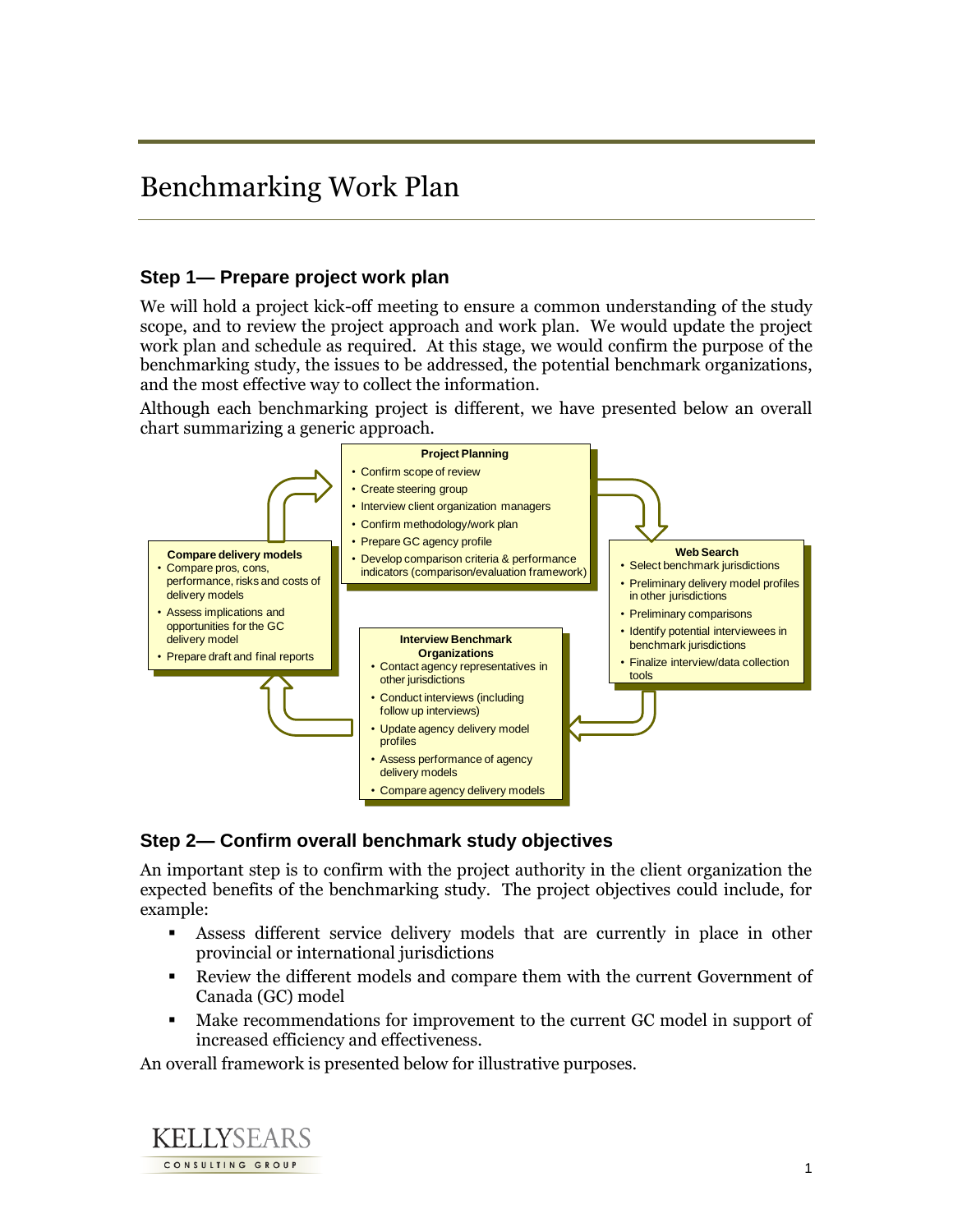# Benchmarking Work Plan

## **Step 1— Prepare project work plan**

We will hold a project kick-off meeting to ensure a common understanding of the study scope, and to review the project approach and work plan. We would update the project work plan and schedule as required. At this stage, we would confirm the purpose of the benchmarking study, the issues to be addressed, the potential benchmark organizations, and the most effective way to collect the information.

Although each benchmarking project is different, we have presented below an overall chart summarizing a generic approach.



#### **Step 2— Confirm overall benchmark study objectives**

An important step is to confirm with the project authority in the client organization the expected benefits of the benchmarking study. The project objectives could include, for example:

- Assess different service delivery models that are currently in place in other provincial or international jurisdictions
- Review the different models and compare them with the current Government of Canada (GC) model
- Make recommendations for improvement to the current GC model in support of increased efficiency and effectiveness.

An overall framework is presented below for illustrative purposes.

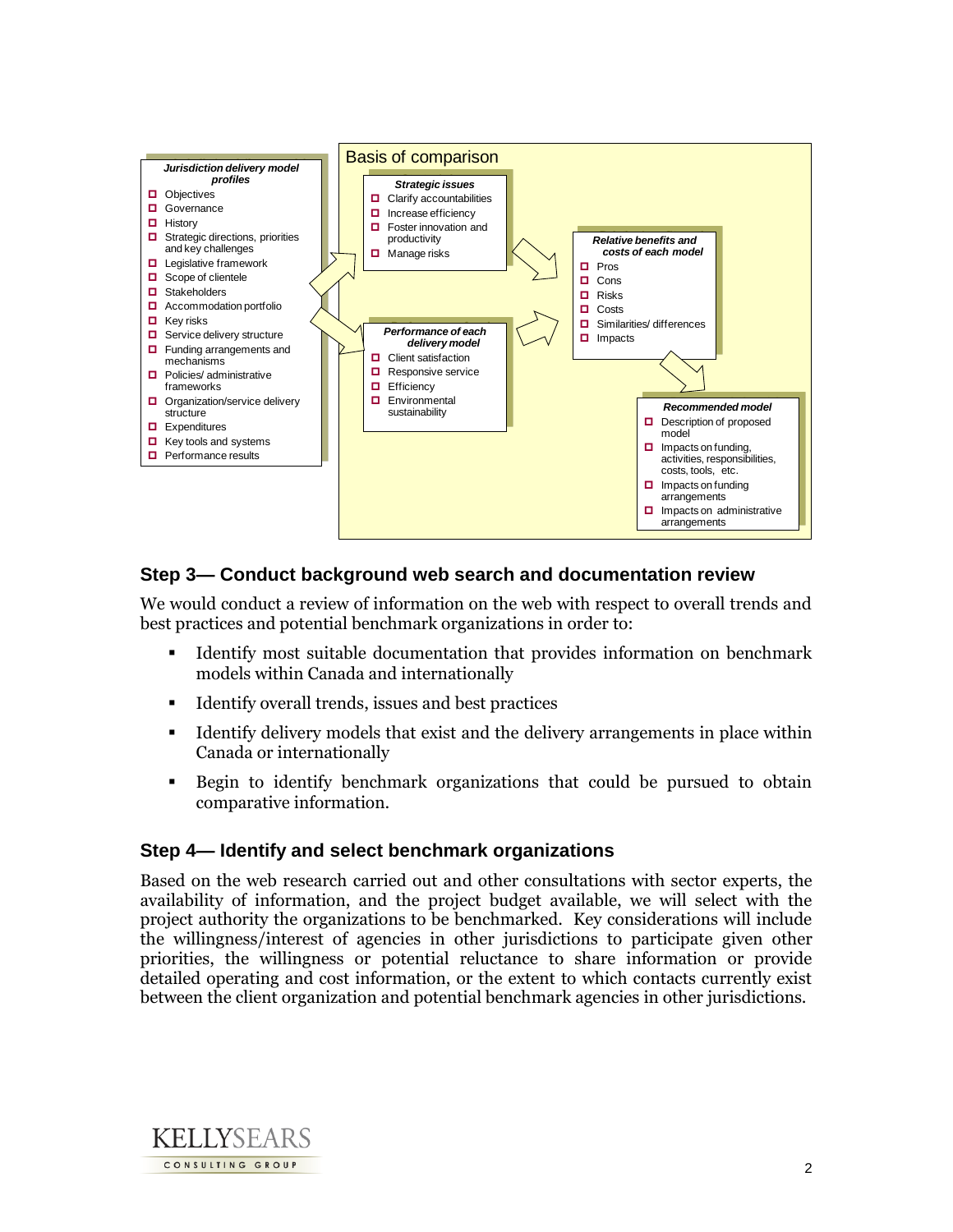

# **Step 3— Conduct background web search and documentation review**

We would conduct a review of information on the web with respect to overall trends and best practices and potential benchmark organizations in order to:

- Identify most suitable documentation that provides information on benchmark models within Canada and internationally
- Identify overall trends, issues and best practices
- Identify delivery models that exist and the delivery arrangements in place within Canada or internationally
- Begin to identify benchmark organizations that could be pursued to obtain comparative information.

#### **Step 4— Identify and select benchmark organizations**

Based on the web research carried out and other consultations with sector experts, the availability of information, and the project budget available, we will select with the project authority the organizations to be benchmarked. Key considerations will include the willingness/interest of agencies in other jurisdictions to participate given other priorities, the willingness or potential reluctance to share information or provide detailed operating and cost information, or the extent to which contacts currently exist between the client organization and potential benchmark agencies in other jurisdictions.

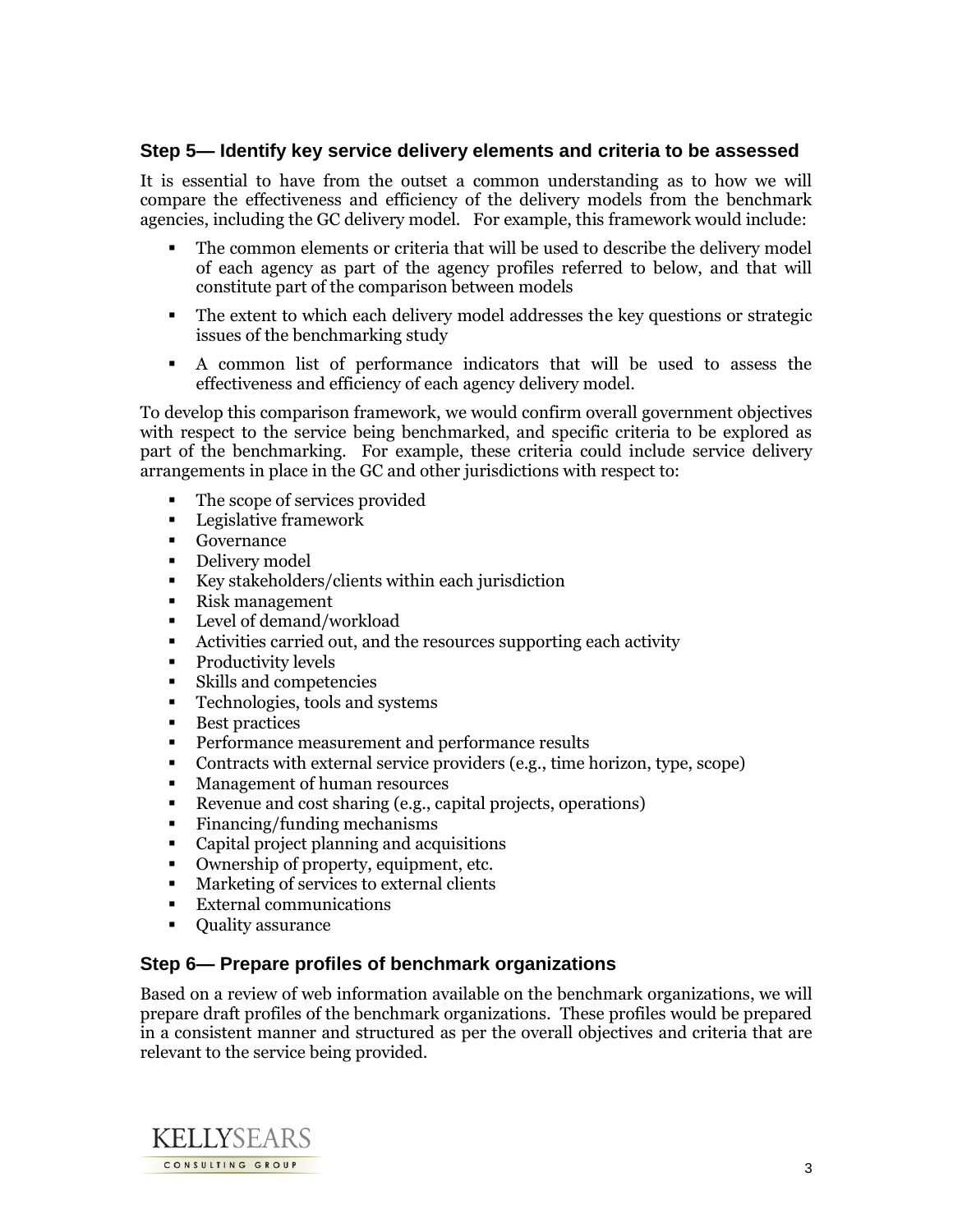## **Step 5— Identify key service delivery elements and criteria to be assessed**

It is essential to have from the outset a common understanding as to how we will compare the effectiveness and efficiency of the delivery models from the benchmark agencies, including the GC delivery model. For example, this framework would include:

- The common elements or criteria that will be used to describe the delivery model of each agency as part of the agency profiles referred to below, and that will constitute part of the comparison between models
- The extent to which each delivery model addresses the key questions or strategic issues of the benchmarking study
- A common list of performance indicators that will be used to assess the effectiveness and efficiency of each agency delivery model.

To develop this comparison framework, we would confirm overall government objectives with respect to the service being benchmarked, and specific criteria to be explored as part of the benchmarking. For example, these criteria could include service delivery arrangements in place in the GC and other jurisdictions with respect to:

- The scope of services provided
- **Legislative framework**
- **Governance**
- Delivery model
- Key stakeholders/clients within each jurisdiction
- Risk management
- **Level of demand/workload**
- Activities carried out, and the resources supporting each activity
- Productivity levels
- Skills and competencies
- **Technologies, tools and systems**
- Best practices
- **Performance measurement and performance results**
- Contracts with external service providers (e.g., time horizon, type, scope)
- **Management of human resources**
- Revenue and cost sharing (e.g., capital projects, operations)
- Financing/funding mechanisms
- Capital project planning and acquisitions
- Ownership of property, equipment, etc.
- **Marketing of services to external clients**
- **External communications**
- Quality assurance

#### **Step 6— Prepare profiles of benchmark organizations**

Based on a review of web information available on the benchmark organizations, we will prepare draft profiles of the benchmark organizations. These profiles would be prepared in a consistent manner and structured as per the overall objectives and criteria that are relevant to the service being provided.